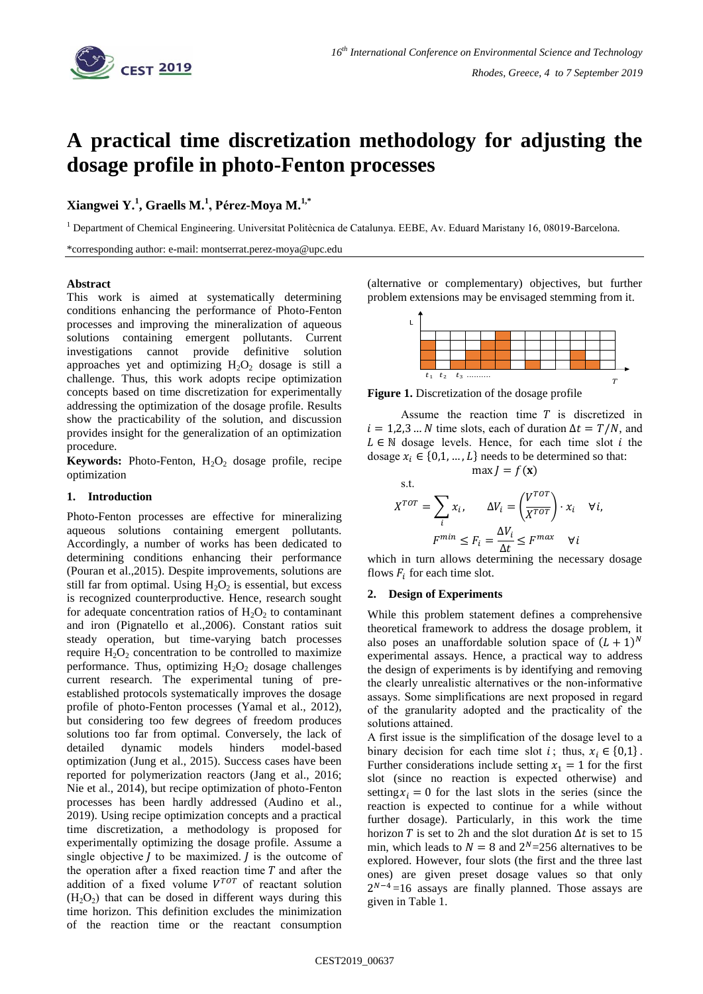

# **A practical time discretization methodology for adjusting the dosage profile in photo-Fenton processes**

# **Xiangwei Y.<sup>1</sup> , Graells M.<sup>1</sup> , Pérez-Moya M.1,\***

<sup>1</sup> Department of Chemical Engineering. Universitat Politècnica de Catalunya. EEBE, Av. Eduard Maristany 16, 08019-Barcelona.

\*corresponding author: e-mail: montserrat.perez-moya@upc.edu

## **Abstract**

This work is aimed at systematically determining conditions enhancing the performance of Photo-Fenton processes and improving the mineralization of aqueous solutions containing emergent pollutants. Current investigations cannot provide definitive solution approaches yet and optimizing  $H_2O_2$  dosage is still a challenge. Thus, this work adopts recipe optimization concepts based on time discretization for experimentally addressing the optimization of the dosage profile. Results show the practicability of the solution, and discussion provides insight for the generalization of an optimization procedure.

**Keywords:** Photo-Fenton,  $H_2O_2$  dosage profile, recipe optimization

## **1. Introduction**

Photo-Fenton processes are effective for mineralizing aqueous solutions containing emergent pollutants. Accordingly, a number of works has been dedicated to determining conditions enhancing their performance (Pouran et al.,2015). Despite improvements, solutions are still far from optimal. Using  $H_2O_2$  is essential, but excess is recognized counterproductive. Hence, research sought for adequate concentration ratios of  $H_2O_2$  to contaminant and iron (Pignatello et al.,2006). Constant ratios suit steady operation, but time-varying batch processes require  $H_2O_2$  concentration to be controlled to maximize performance. Thus, optimizing  $H_2O_2$  dosage challenges current research. The experimental tuning of preestablished protocols systematically improves the dosage profile of photo-Fenton processes (Yamal et al., 2012), but considering too few degrees of freedom produces solutions too far from optimal. Conversely, the lack of detailed dynamic models hinders model-based optimization (Jung et al., 2015). Success cases have been reported for polymerization reactors (Jang et al., 2016; Nie et al., 2014), but recipe optimization of photo-Fenton processes has been hardly addressed (Audino et al., 2019). Using recipe optimization concepts and a practical time discretization, a methodology is proposed for experimentally optimizing the dosage profile. Assume a single objective  $I$  to be maximized.  $I$  is the outcome of the operation after a fixed reaction time  $T$  and after the addition of a fixed volume  $V^{TOT}$  of reactant solution  $(H<sub>2</sub>O<sub>2</sub>)$  that can be dosed in different ways during this time horizon. This definition excludes the minimization of the reaction time or the reactant consumption

(alternative or complementary) objectives, but further problem extensions may be envisaged stemming from it.



**Figure 1.** Discretization of the dosage profile

Assume the reaction time  $T$  is discretized in  $i = 1,2,3...N$  time slots, each of duration  $\Delta t = T/N$ , and  $L \in \mathbb{N}$  dosage levels. Hence, for each time slot *i* the dosage  $x_i \in \{0,1,...,L\}$  needs to be determined so that:  $max I = f(x)$ 

s.t.  
\n
$$
X^{TOT} = \sum_{i} x_{i}, \qquad \Delta V_{i} = \left(\frac{V^{TOT}}{X^{TOT}}\right) \cdot x_{i} \quad \forall i,
$$
\n
$$
F^{min} \le F_{i} = \frac{\Delta V_{i}}{\Delta t} \le F^{max} \quad \forall i
$$

which in turn allows determining the necessary dosage flows  $F_i$  for each time slot.

#### **2. Design of Experiments**

While this problem statement defines a comprehensive theoretical framework to address the dosage problem, it also poses an unaffordable solution space of  $(L + 1)^N$ experimental assays. Hence, a practical way to address the design of experiments is by identifying and removing the clearly unrealistic alternatives or the non-informative assays. Some simplifications are next proposed in regard of the granularity adopted and the practicality of the solutions attained.

A first issue is the simplification of the dosage level to a binary decision for each time slot *i*; thus,  $x_i \in \{0,1\}$ . Further considerations include setting  $x_1 = 1$  for the first slot (since no reaction is expected otherwise) and setting  $x_i = 0$  for the last slots in the series (since the reaction is expected to continue for a while without further dosage). Particularly, in this work the time horizon T is set to 2h and the slot duration  $\Delta t$  is set to 15 min, which leads to  $N = 8$  and  $2<sup>N</sup>=256$  alternatives to be explored. However, four slots (the first and the three last ones) are given preset dosage values so that only  $2^{N-4}$ =16 assays are finally planned. Those assays are given in Table 1.